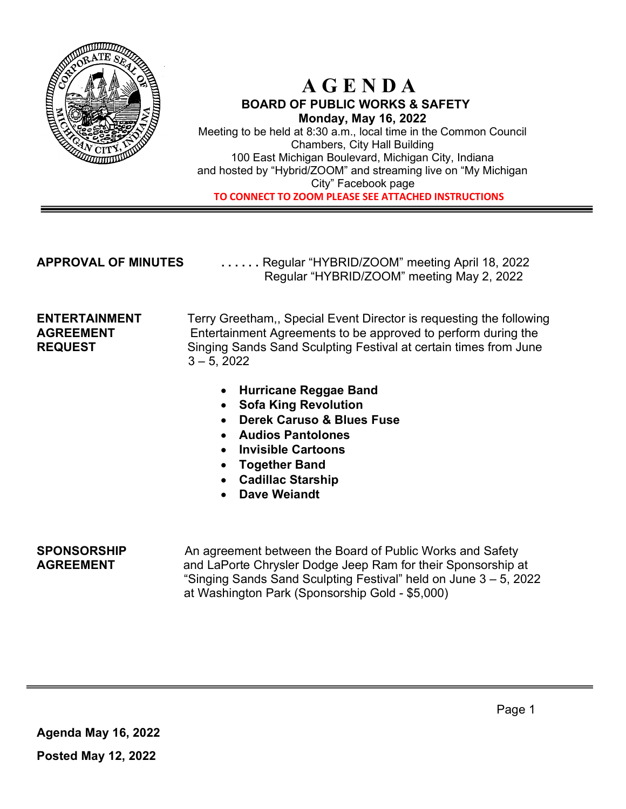

## A G E N D A BOARD OF PUBLIC WORKS & SAFETY Monday, May 16, 2022

Meeting to be held at 8:30 a.m., local time in the Common Council Chambers, City Hall Building 100 East Michigan Boulevard, Michigan City, Indiana and hosted by "Hybrid/ZOOM" and streaming live on "My Michigan City" Facebook page TO CONNECT TO ZOOM PLEASE SEE ATTACHED INSTRUCTIONS

APPROVAL OF MINUTES ...... Regular "HYBRID/ZOOM" meeting April 18, 2022 Regular "HYBRID/ZOOM" meeting May 2, 2022

**ENTERTAINMENT** Terry Greetham,, Special Event Director is requesting the following AGREEMENT Entertainment Agreements to be approved to perform during the REQUEST Singing Sands Sand Sculpting Festival at certain times from June  $3 - 5$ , 2022

- Hurricane Reggae Band
- Sofa King Revolution
- Derek Caruso & Blues Fuse
- Audios Pantolones
- Invisible Cartoons
- Together Band
- Cadillac Starship
- Dave Weiandt

1

**SPONSORSHIP** An agreement between the Board of Public Works and Safety AGREEMENT and LaPorte Chrysler Dodge Jeep Ram for their Sponsorship at "Singing Sands Sand Sculpting Festival" held on June 3 – 5, 2022 at Washington Park (Sponsorship Gold - \$5,000)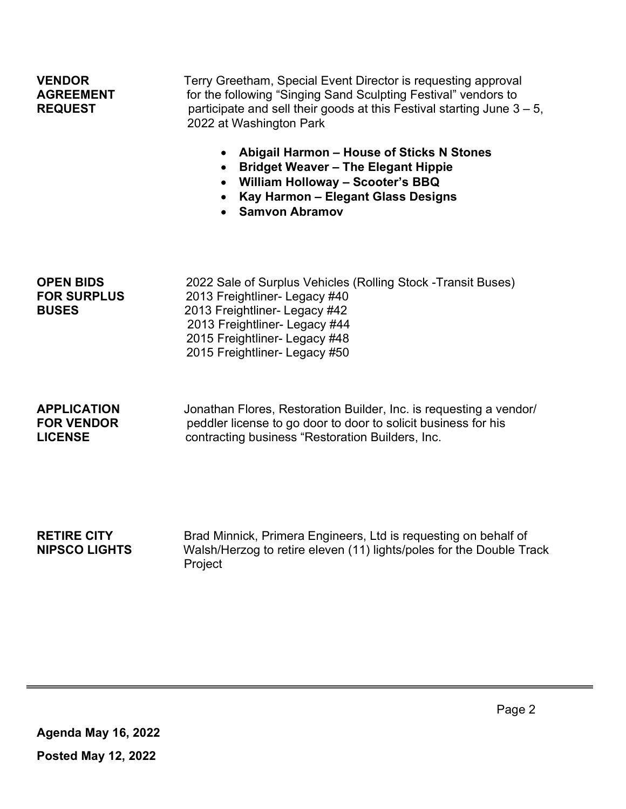| <b>VENDOR</b><br><b>AGREEMENT</b><br><b>REQUEST</b>       | Terry Greetham, Special Event Director is requesting approval<br>for the following "Singing Sand Sculpting Festival" vendors to<br>participate and sell their goods at this Festival starting June $3 - 5$ ,<br>2022 at Washington Park<br>Abigail Harmon - House of Sticks N Stones<br>$\bullet$<br><b>Bridget Weaver - The Elegant Hippie</b><br>$\bullet$<br>• William Holloway - Scooter's BBQ<br>Kay Harmon - Elegant Glass Designs<br><b>Samvon Abramov</b> |
|-----------------------------------------------------------|-------------------------------------------------------------------------------------------------------------------------------------------------------------------------------------------------------------------------------------------------------------------------------------------------------------------------------------------------------------------------------------------------------------------------------------------------------------------|
| <b>OPEN BIDS</b><br><b>FOR SURPLUS</b><br><b>BUSES</b>    | 2022 Sale of Surplus Vehicles (Rolling Stock -Transit Buses)<br>2013 Freightliner- Legacy #40<br>2013 Freightliner- Legacy #42<br>2013 Freightliner- Legacy #44<br>2015 Freightliner- Legacy #48<br>2015 Freightliner- Legacy #50                                                                                                                                                                                                                                 |
| <b>APPLICATION</b><br><b>FOR VENDOR</b><br><b>LICENSE</b> | Jonathan Flores, Restoration Builder, Inc. is requesting a vendor/<br>peddler license to go door to door to solicit business for his<br>contracting business "Restoration Builders, Inc.                                                                                                                                                                                                                                                                          |

RETIRE CITY Brad Minnick, Primera Engineers, Ltd is requesting on behalf of<br>NIPSCO LIGHTS Walsh/Herzog to retire eleven (11) lights/poles for the Double Tr Walsh/Herzog to retire eleven (11) lights/poles for the Double Track Project

1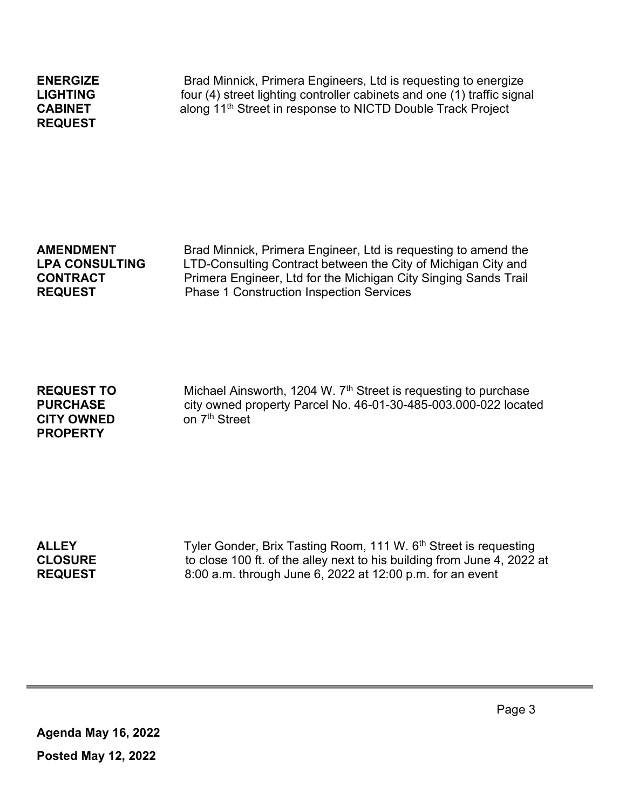| <b>ENERGIZE</b> |
|-----------------|
| LIGHTING        |
| <b>CABINET</b>  |
| <b>REQUEST</b>  |

Brad Minnick, Primera Engineers, Ltd is requesting to energize four (4) street lighting controller cabinets and one  $(1)$  traffic signal along 11<sup>th</sup> Street in response to NICTD Double Track Project

| <b>AMENDMENT</b>      |
|-----------------------|
| <b>LPA CONSULTING</b> |
| <b>CONTRACT</b>       |
| <b>REQUEST</b>        |

Brad Minnick, Primera Engineer, Ltd is requesting to amend the LTD-Consulting Contract between the City of Michigan City and Primera Engineer, Ltd for the Michigan City Singing Sands Trail Phase 1 Construction Inspection Services

CITY OWNED on 7<sup>th</sup> Street PROPERTY

**REQUEST TO** Michael Ainsworth, 1204 W.  $7<sup>th</sup>$  Street is requesting to purchase PURCHASE city owned property Parcel No. 46-01-30-485-003.000-022 located

ALLEY Tyler Gonder, Brix Tasting Room, 111 W. 6<sup>th</sup> Street is requesting CLOSURE to close 100 ft. of the alley next to his building from June 4, 2022 at REQUEST 8:00 a.m. through June 6, 2022 at 12:00 p.m. for an event

Agenda May 16, 2022 Posted May 12, 2022

1

Page 3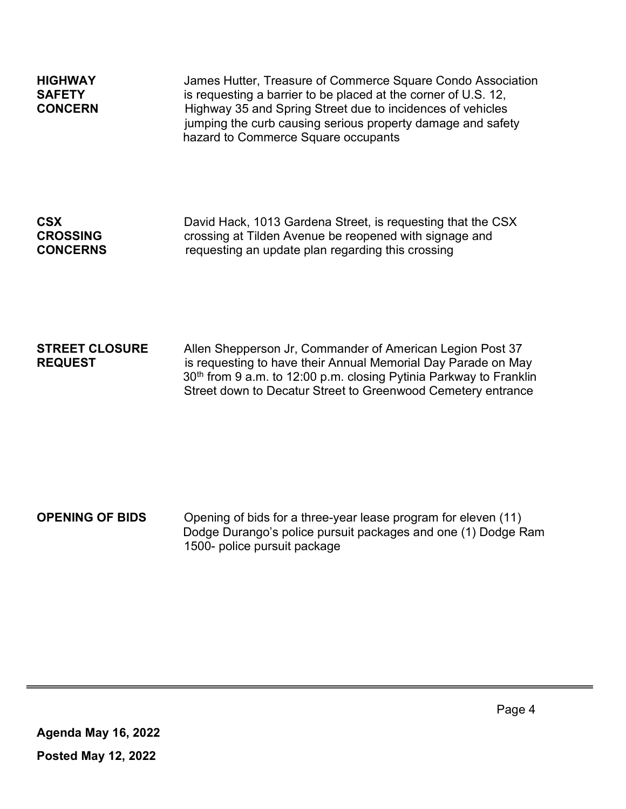| <b>HIGHWAY</b><br><b>SAFETY</b><br><b>CONCERN</b> | James Hutter, Treasure of Commerce Square Condo Association<br>is requesting a barrier to be placed at the corner of U.S. 12,<br>Highway 35 and Spring Street due to incidences of vehicles<br>jumping the curb causing serious property damage and safety<br>hazard to Commerce Square occupants |
|---------------------------------------------------|---------------------------------------------------------------------------------------------------------------------------------------------------------------------------------------------------------------------------------------------------------------------------------------------------|
| <b>CSX</b>                                        | David Hack, 1013 Gardena Street, is requesting that the CSX                                                                                                                                                                                                                                       |
| <b>CROSSING</b>                                   | crossing at Tilden Avenue be reopened with signage and                                                                                                                                                                                                                                            |
| <b>CONCERNS</b>                                   | requesting an update plan regarding this crossing                                                                                                                                                                                                                                                 |

### **STREET CLOSURE** Allen Shepperson Jr, Commander of American Legion Post 37 REQUEST is requesting to have their Annual Memorial Day Parade on May 30<sup>th</sup> from 9 a.m. to 12:00 p.m. closing Pytinia Parkway to Franklin Street down to Decatur Street to Greenwood Cemetery entrance

## OPENING OF BIDS Opening of bids for a three-year lease program for eleven (11) Dodge Durango's police pursuit packages and one (1) Dodge Ram 1500- police pursuit package

1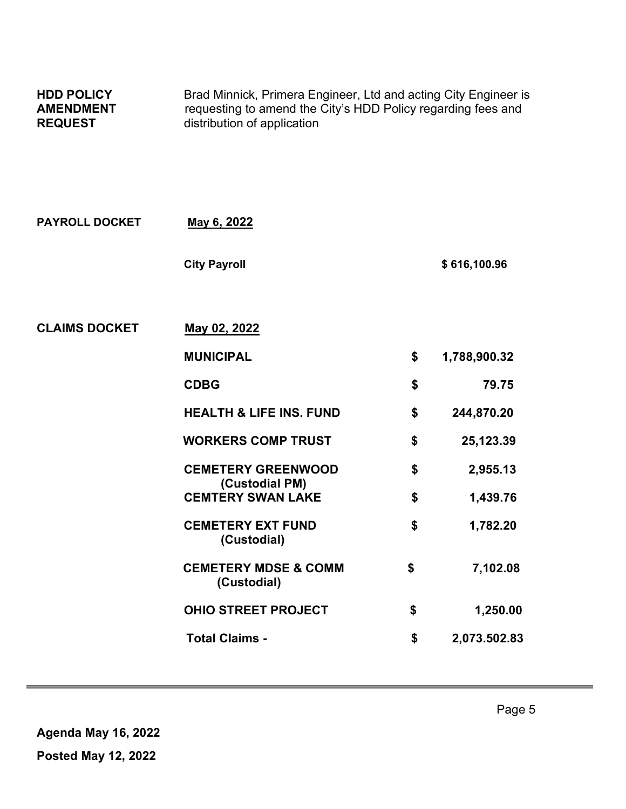| <b>HDD POLICY</b><br><b>AMENDMENT</b><br><b>REQUEST</b> | Brad Minnick, Primera Engineer, Ltd and acting City Engineer is<br>requesting to amend the City's HDD Policy regarding fees and<br>distribution of application |    |              |  |
|---------------------------------------------------------|----------------------------------------------------------------------------------------------------------------------------------------------------------------|----|--------------|--|
| <b>PAYROLL DOCKET</b>                                   | May 6, 2022                                                                                                                                                    |    |              |  |
|                                                         | <b>City Payroll</b>                                                                                                                                            |    | \$616,100.96 |  |
| <b>CLAIMS DOCKET</b>                                    | May 02, 2022                                                                                                                                                   |    |              |  |
|                                                         | <b>MUNICIPAL</b>                                                                                                                                               | \$ | 1,788,900.32 |  |
|                                                         | <b>CDBG</b>                                                                                                                                                    | \$ | 79.75        |  |
|                                                         | <b>HEALTH &amp; LIFE INS. FUND</b>                                                                                                                             | \$ | 244,870.20   |  |
|                                                         | <b>WORKERS COMP TRUST</b>                                                                                                                                      | \$ | 25,123.39    |  |
|                                                         | <b>CEMETERY GREENWOOD</b><br>(Custodial PM)                                                                                                                    | \$ | 2,955.13     |  |
|                                                         | <b>CEMTERY SWAN LAKE</b>                                                                                                                                       | \$ | 1,439.76     |  |
|                                                         | <b>CEMETERY EXT FUND</b><br>(Custodial)                                                                                                                        | \$ | 1,782.20     |  |
|                                                         | <b>CEMETERY MDSE &amp; COMM</b><br>(Custodial)                                                                                                                 | \$ | 7,102.08     |  |
|                                                         | <b>OHIO STREET PROJECT</b>                                                                                                                                     | \$ | 1,250.00     |  |
|                                                         | <b>Total Claims -</b>                                                                                                                                          | \$ | 2,073.502.83 |  |

1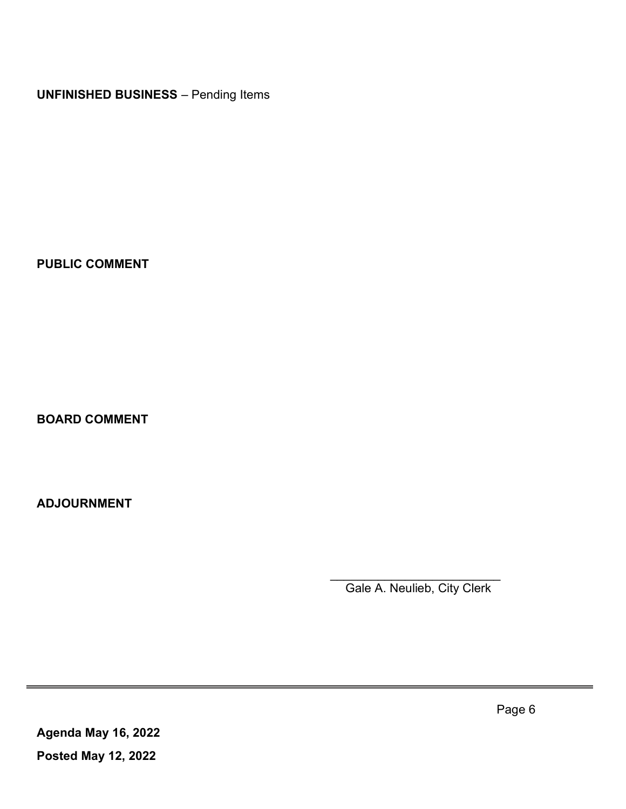UNFINISHED BUSINESS – Pending Items

PUBLIC COMMENT

BOARD COMMENT

ADJOURNMENT

 $\mathcal{L}_\text{max}$  , which is a set of the contract of the contract of the contract of the contract of the contract of the contract of the contract of the contract of the contract of the contract of the contract of the contrac Gale A. Neulieb, City Clerk

Agenda May 16, 2022 Posted May 12, 2022

1

Page 6